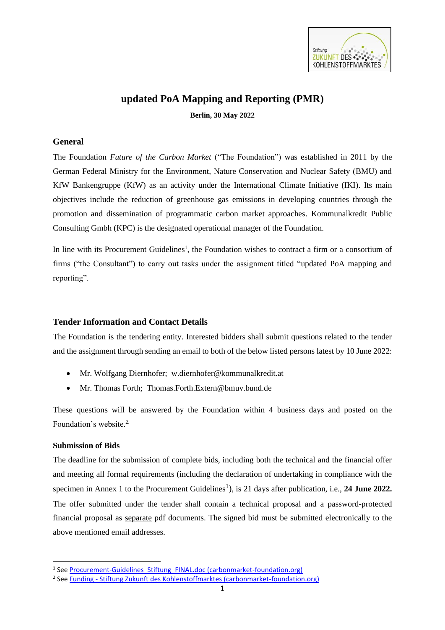

# **updated PoA Mapping and Reporting (PMR)**

**Berlin, 30 May 2022**

#### **General**

The Foundation *Future of the Carbon Market* ("The Foundation") was established in 2011 by the German Federal Ministry for the Environment, Nature Conservation and Nuclear Safety (BMU) and KfW Bankengruppe (KfW) as an activity under the International Climate Initiative (IKI). Its main objectives include the reduction of greenhouse gas emissions in developing countries through the promotion and dissemination of programmatic carbon market approaches. Kommunalkredit Public Consulting Gmbh (KPC) is the designated operational manager of the Foundation.

In line with its Procurement Guidelines<sup>1</sup>, the Foundation wishes to contract a firm or a consortium of firms ("the Consultant") to carry out tasks under the assignment titled "updated PoA mapping and reporting".

## **Tender Information and Contact Details**

The Foundation is the tendering entity. Interested bidders shall submit questions related to the tender and the assignment through sending an email to both of the below listed persons latest by 10 June 2022:

- Mr. Wolfgang Diernhofer; [w.diernhofer@kommunalkredit.at](mailto:w.diernhofer@kommunalkredit.at)
- Mr. Thomas Forth; [Thomas.Forth.Extern@bmuv.bund.de](mailto:Thomas.Forth.Extern@bmuv.bund.de)

These questions will be answered by the Foundation within 4 business days and posted on the Foundation's website. 2.

## **Submission of Bids**

The deadline for the submission of complete bids, including both the technical and the financial offer and meeting all formal requirements (including the declaration of undertaking in compliance with the specimen in Annex 1 to the Procurement Guidelines<sup>1</sup>), is 21 days after publication, i.e., 24 June 2022. The offer submitted under the tender shall contain a technical proposal and a password-protected financial proposal as separate pdf documents. The signed bid must be submitted electronically to the above mentioned email addresses.

<sup>&</sup>lt;sup>1</sup> See Procurement-Guidelines Stiftung FINAL.doc (carbonmarket-foundation.org)

<sup>&</sup>lt;sup>2</sup> See **Funding - [Stiftung Zukunft des Kohlenstoffmarktes \(carbonmarket-foundation.org\)](http://www.carbonmarket-foundation.org/funding)**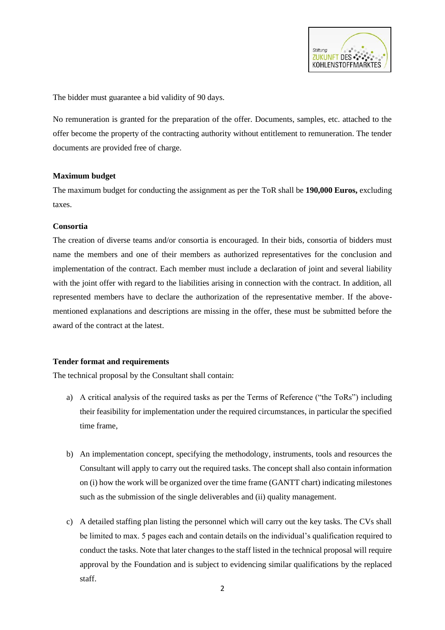

The bidder must guarantee a bid validity of 90 days.

No remuneration is granted for the preparation of the offer. Documents, samples, etc. attached to the offer become the property of the contracting authority without entitlement to remuneration. The tender documents are provided free of charge.

#### **Maximum budget**

The maximum budget for conducting the assignment as per the ToR shall be **190,000 Euros,** excluding taxes.

#### **Consortia**

The creation of diverse teams and/or consortia is encouraged. In their bids, consortia of bidders must name the members and one of their members as authorized representatives for the conclusion and implementation of the contract. Each member must include a declaration of joint and several liability with the joint offer with regard to the liabilities arising in connection with the contract. In addition, all represented members have to declare the authorization of the representative member. If the abovementioned explanations and descriptions are missing in the offer, these must be submitted before the award of the contract at the latest.

## **Tender format and requirements**

The technical proposal by the Consultant shall contain:

- a) A critical analysis of the required tasks as per the Terms of Reference ("the ToRs") including their feasibility for implementation under the required circumstances, in particular the specified time frame,
- b) An implementation concept, specifying the methodology, instruments, tools and resources the Consultant will apply to carry out the required tasks. The concept shall also contain information on (i) how the work will be organized over the time frame (GANTT chart) indicating milestones such as the submission of the single deliverables and (ii) quality management.
- c) A detailed staffing plan listing the personnel which will carry out the key tasks. The CVs shall be limited to max. 5 pages each and contain details on the individual's qualification required to conduct the tasks. Note that later changes to the staff listed in the technical proposal will require approval by the Foundation and is subject to evidencing similar qualifications by the replaced staff.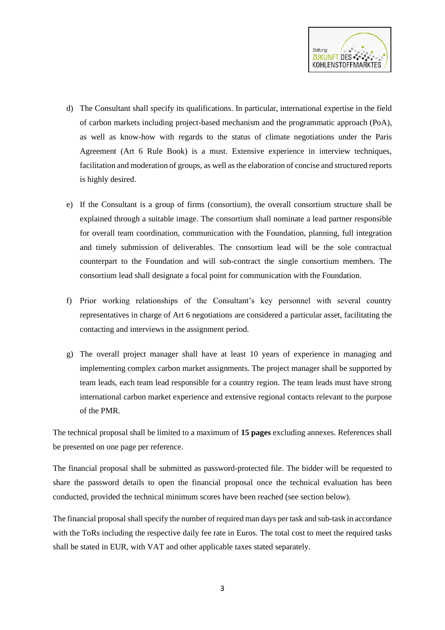

- d) The Consultant shall specify its qualifications. In particular, international expertise in the field of carbon markets including project-based mechanism and the programmatic approach (PoA), as well as know-how with regards to the status of climate negotiations under the Paris Agreement (Art 6 Rule Book) is a must. Extensive experience in interview techniques, facilitation and moderation of groups, as well as the elaboration of concise and structured reports is highly desired.
- e) If the Consultant is a group of firms (consortium), the overall consortium structure shall be explained through a suitable image. The consortium shall nominate a lead partner responsible for overall team coordination, communication with the Foundation, planning, full integration and timely submission of deliverables. The consortium lead will be the sole contractual counterpart to the Foundation and will sub-contract the single consortium members. The consortium lead shall designate a focal point for communication with the Foundation.
- f) Prior working relationships of the Consultant's key personnel with several country representatives in charge of Art 6 negotiations are considered a particular asset, facilitating the contacting and interviews in the assignment period.
- g) The overall project manager shall have at least 10 years of experience in managing and implementing complex carbon market assignments. The project manager shall be supported by team leads, each team lead responsible for a country region. The team leads must have strong international carbon market experience and extensive regional contacts relevant to the purpose of the PMR.

The technical proposal shall be limited to a maximum of **15 pages** excluding annexes. References shall be presented on one page per reference.

The financial proposal shall be submitted as password-protected file. The bidder will be requested to share the password details to open the financial proposal once the technical evaluation has been conducted, provided the technical minimum scores have been reached (see section below).

The financial proposal shall specify the number of required man days per task and sub-task in accordance with the ToRs including the respective daily fee rate in Euros. The total cost to meet the required tasks shall be stated in EUR, with VAT and other applicable taxes stated separately.